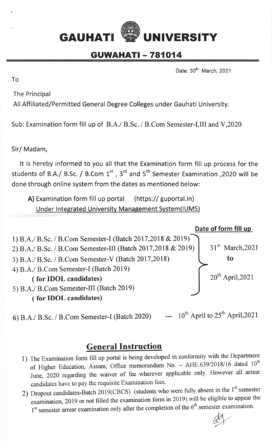## GAUHATI WEINIVERSITY

## **GUWAHATI - 781014**

Date: 30<sup>th</sup> March, 2021

To

The Principal

All Affiliated/Permitted General Degree Colleges under Gauhati University.

Sub: Examination form fill up of B.A./ B.Sc. / B.Com Semester-I,III and V,2020

Sir/ Madam,

It is hereby informed to you all that the Examination form fill up process for the students of B.A./ B.Sc. / B.Com  $1^{st}$ ,  $3^{rd}$  and  $5^{th}$  Semester Examination ,2020 will be done through online system from the dates as mentioned below:

A) Examination form fill up portal (https:// guportal.in) Under Integrated University Management System(IUMS)



6) B.A./ B.Sc. / B.Com Semester-I (Batch 2020) ---  $10^{th}$  April to  $25^{th}$  April,2021

## General Instruction

- l) The Examination form fill up portal is being developed in conformity with the Departrnent of Higher Education, Assam, Office memorandum No. - AHE.639/2018/16 dated 10<sup>th</sup> June, 2020 regarding the waiver of fee wherever applicable only. However all arrear candidates have to pay the requisite Examination fees.
- 2) Dropout candidates-Batch 2019(CBCS) (students who were fully absent in the 1<sup>st</sup> semester examination, 2019 or not filled the examination form in 2019) will be eligible to appear the  $1<sup>st</sup>$  semester arrear examination only after the completion of the  $6<sup>th</sup>$  semester examination.

aby